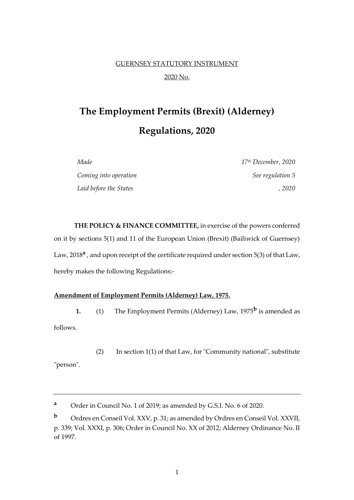# GUERNSEY STATUTORY INSTRUMENT 2020 No.

# **The Employment Permits (Brexit) (Alderney) Regulations, 2020**

| Made                   | 17 <sup>th</sup> December, 2020 |
|------------------------|---------------------------------|
| Coming into operation  | See regulation 5                |
| Laid before the States | . 2020                          |

**THE POLICY & FINANCE COMMITTEE,** in exercise of the powers conferred on it by sections 5(1) and 11 of the European Union (Brexit) (Bailiwick of Guernsey) Law, 2018<sup>a</sup>, and upon receipt of the certificate required under section 5(3) of that Law, hereby makes the following Regulations:-

# **Amendment of Employment Permits (Alderney) Law, 1975.**

**1.** (1) The Employment Permits (Alderney) Law, 1975**<sup>b</sup>** is amended as

follows.

"person".

(2) In section 1(1) of that Law, for "Community national", substitute

**<sup>a</sup>** Order in Council No. 1 of 2019; as amended by G.S.I. No. 6 of 2020.

**<sup>b</sup>** Ordres en Conseil Vol. XXV, p. 31; as amended by Ordres en Conseil Vol. XXVII, p. 339; Vol. XXXI, p. 306; Order in Council No. XX of 2012; Alderney Ordinance No. II of 1997.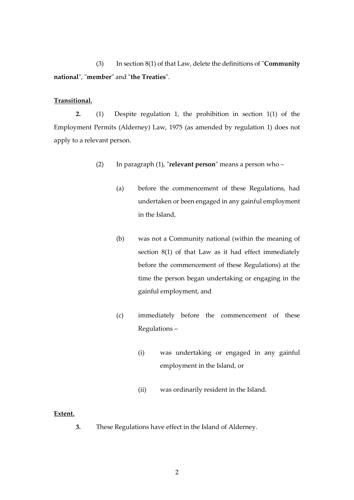(3) In section 8(1) of that Law, delete the definitions of "**Community national**", "**member**" and "**the Treaties**".

## **Transitional.**

**2.** (1) Despite regulation 1, the prohibition in section 1(1) of the Employment Permits (Alderney) Law, 1975 (as amended by regulation 1) does not apply to a relevant person.

- (2) In paragraph (1), "**relevant person**" means a person who
	- (a) before the commencement of these Regulations, had undertaken or been engaged in any gainful employment in the Island,
	- (b) was not a Community national (within the meaning of section 8(1) of that Law as it had effect immediately before the commencement of these Regulations) at the time the person began undertaking or engaging in the gainful employment, and
	- (c) immediately before the commencement of these Regulations –
		- (i) was undertaking or engaged in any gainful employment in the Island, or
		- (ii) was ordinarily resident in the Island.

#### **Extent.**

**3.** These Regulations have effect in the Island of Alderney.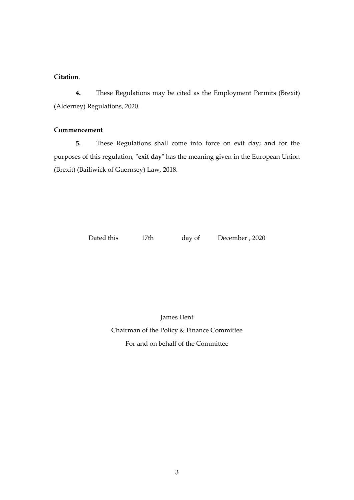## **Citation**.

**4.** These Regulations may be cited as the Employment Permits (Brexit) (Alderney) Regulations, 2020.

#### **Commencement**

**5.** These Regulations shall come into force on exit day; and for the purposes of this regulation, "**exit day**" has the meaning given in the European Union (Brexit) (Bailiwick of Guernsey) Law, 2018.

Dated this 17th day of December, 2020

James Dent

Chairman of the Policy & Finance Committee For and on behalf of the Committee